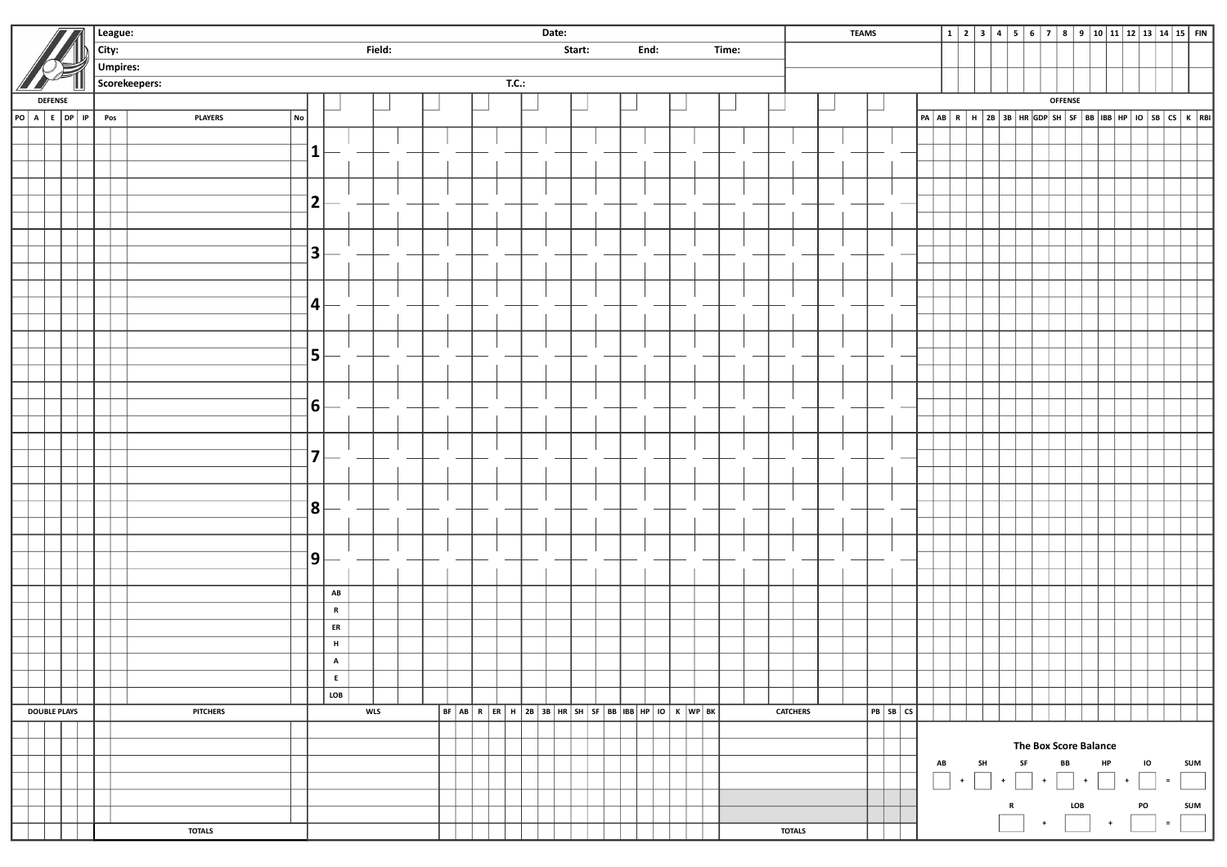|                |  |                     |       | League:         | Date:                |                                   |                                     |            |  |  |  |  |  |                           |  |  | <b>TEAMS</b> |  |  |  |  |                 |  |  |  |          |  |  |  |  |                |                                 |  |  |  |  |  |                                                                                                                                                                                                                             |  |
|----------------|--|---------------------|-------|-----------------|----------------------|-----------------------------------|-------------------------------------|------------|--|--|--|--|--|---------------------------|--|--|--------------|--|--|--|--|-----------------|--|--|--|----------|--|--|--|--|----------------|---------------------------------|--|--|--|--|--|-----------------------------------------------------------------------------------------------------------------------------------------------------------------------------------------------------------------------------|--|
|                |  |                     | City: |                 |                      | Field:<br>Start:<br>End:<br>Time: |                                     |            |  |  |  |  |  |                           |  |  |              |  |  |  |  |                 |  |  |  |          |  |  |  |  |                |                                 |  |  |  |  |  |                                                                                                                                                                                                                             |  |
|                |  |                     |       | <b>Umpires:</b> |                      |                                   |                                     |            |  |  |  |  |  |                           |  |  |              |  |  |  |  |                 |  |  |  |          |  |  |  |  |                |                                 |  |  |  |  |  |                                                                                                                                                                                                                             |  |
|                |  |                     |       |                 | Scorekeepers:        |                                   |                                     |            |  |  |  |  |  | $\mathsf{T}.\mathsf{C}$ : |  |  |              |  |  |  |  |                 |  |  |  |          |  |  |  |  |                |                                 |  |  |  |  |  |                                                                                                                                                                                                                             |  |
| <b>DEFENSE</b> |  |                     |       |                 |                      |                                   |                                     |            |  |  |  |  |  |                           |  |  |              |  |  |  |  |                 |  |  |  |          |  |  |  |  | <b>OFFENSE</b> |                                 |  |  |  |  |  |                                                                                                                                                                                                                             |  |
|                |  | PO A E DP IP        |       | Pos             | No<br><b>PLAYERS</b> |                                   |                                     |            |  |  |  |  |  |                           |  |  |              |  |  |  |  |                 |  |  |  |          |  |  |  |  |                |                                 |  |  |  |  |  | $\boxed{PA}$ $\boxed{AB}$ $\boxed{R}$ $\boxed{H}$ $\boxed{2B}$ $\boxed{3B}$ $\boxed{HR}$ $\boxed{GDP}$ $\boxed{SH}$ $\boxed{SB}$ $\boxed{BB}$ $\boxed{HP}$ $\boxed{IO}$ $\boxed{SB}$ $\boxed{CS}$ $\boxed{K}$ $\boxed{RBI}$ |  |
|                |  |                     |       |                 |                      |                                   |                                     |            |  |  |  |  |  |                           |  |  |              |  |  |  |  |                 |  |  |  |          |  |  |  |  |                |                                 |  |  |  |  |  |                                                                                                                                                                                                                             |  |
|                |  |                     |       |                 |                      | $\vert$ 1                         |                                     |            |  |  |  |  |  |                           |  |  |              |  |  |  |  |                 |  |  |  |          |  |  |  |  |                |                                 |  |  |  |  |  |                                                                                                                                                                                                                             |  |
|                |  |                     |       |                 |                      |                                   |                                     |            |  |  |  |  |  |                           |  |  |              |  |  |  |  |                 |  |  |  |          |  |  |  |  |                |                                 |  |  |  |  |  |                                                                                                                                                                                                                             |  |
|                |  |                     |       |                 |                      |                                   |                                     |            |  |  |  |  |  |                           |  |  |              |  |  |  |  |                 |  |  |  |          |  |  |  |  |                |                                 |  |  |  |  |  |                                                                                                                                                                                                                             |  |
|                |  |                     |       |                 |                      | 2                                 |                                     |            |  |  |  |  |  |                           |  |  |              |  |  |  |  |                 |  |  |  |          |  |  |  |  |                |                                 |  |  |  |  |  |                                                                                                                                                                                                                             |  |
|                |  |                     |       |                 |                      |                                   |                                     |            |  |  |  |  |  |                           |  |  |              |  |  |  |  |                 |  |  |  |          |  |  |  |  |                |                                 |  |  |  |  |  |                                                                                                                                                                                                                             |  |
|                |  |                     |       |                 |                      |                                   |                                     |            |  |  |  |  |  |                           |  |  |              |  |  |  |  |                 |  |  |  |          |  |  |  |  |                |                                 |  |  |  |  |  |                                                                                                                                                                                                                             |  |
|                |  |                     |       |                 |                      | 3                                 |                                     |            |  |  |  |  |  |                           |  |  |              |  |  |  |  |                 |  |  |  |          |  |  |  |  |                |                                 |  |  |  |  |  |                                                                                                                                                                                                                             |  |
|                |  |                     |       |                 |                      |                                   |                                     |            |  |  |  |  |  |                           |  |  |              |  |  |  |  |                 |  |  |  |          |  |  |  |  |                |                                 |  |  |  |  |  |                                                                                                                                                                                                                             |  |
|                |  |                     |       |                 |                      |                                   |                                     |            |  |  |  |  |  |                           |  |  |              |  |  |  |  |                 |  |  |  |          |  |  |  |  |                |                                 |  |  |  |  |  |                                                                                                                                                                                                                             |  |
|                |  |                     |       |                 |                      | 4                                 |                                     |            |  |  |  |  |  |                           |  |  |              |  |  |  |  |                 |  |  |  |          |  |  |  |  |                |                                 |  |  |  |  |  |                                                                                                                                                                                                                             |  |
|                |  |                     |       |                 |                      |                                   |                                     |            |  |  |  |  |  |                           |  |  |              |  |  |  |  |                 |  |  |  |          |  |  |  |  |                |                                 |  |  |  |  |  |                                                                                                                                                                                                                             |  |
|                |  |                     |       |                 |                      |                                   |                                     |            |  |  |  |  |  |                           |  |  |              |  |  |  |  |                 |  |  |  |          |  |  |  |  |                |                                 |  |  |  |  |  |                                                                                                                                                                                                                             |  |
|                |  |                     |       |                 |                      | 5                                 |                                     |            |  |  |  |  |  |                           |  |  |              |  |  |  |  |                 |  |  |  |          |  |  |  |  |                |                                 |  |  |  |  |  |                                                                                                                                                                                                                             |  |
|                |  |                     |       |                 |                      |                                   |                                     |            |  |  |  |  |  |                           |  |  |              |  |  |  |  |                 |  |  |  |          |  |  |  |  |                |                                 |  |  |  |  |  |                                                                                                                                                                                                                             |  |
|                |  |                     |       |                 |                      |                                   |                                     |            |  |  |  |  |  |                           |  |  |              |  |  |  |  |                 |  |  |  |          |  |  |  |  |                |                                 |  |  |  |  |  |                                                                                                                                                                                                                             |  |
|                |  |                     |       |                 |                      | 6                                 |                                     |            |  |  |  |  |  |                           |  |  |              |  |  |  |  |                 |  |  |  |          |  |  |  |  |                |                                 |  |  |  |  |  |                                                                                                                                                                                                                             |  |
|                |  |                     |       |                 |                      |                                   |                                     |            |  |  |  |  |  |                           |  |  |              |  |  |  |  |                 |  |  |  |          |  |  |  |  |                |                                 |  |  |  |  |  |                                                                                                                                                                                                                             |  |
|                |  |                     |       |                 |                      |                                   |                                     |            |  |  |  |  |  |                           |  |  |              |  |  |  |  |                 |  |  |  |          |  |  |  |  |                |                                 |  |  |  |  |  |                                                                                                                                                                                                                             |  |
|                |  |                     |       |                 |                      | 7                                 |                                     |            |  |  |  |  |  |                           |  |  |              |  |  |  |  |                 |  |  |  |          |  |  |  |  |                |                                 |  |  |  |  |  |                                                                                                                                                                                                                             |  |
|                |  |                     |       |                 |                      |                                   |                                     |            |  |  |  |  |  |                           |  |  |              |  |  |  |  |                 |  |  |  |          |  |  |  |  |                |                                 |  |  |  |  |  |                                                                                                                                                                                                                             |  |
|                |  |                     |       |                 |                      |                                   |                                     |            |  |  |  |  |  |                           |  |  |              |  |  |  |  |                 |  |  |  |          |  |  |  |  |                |                                 |  |  |  |  |  |                                                                                                                                                                                                                             |  |
|                |  |                     |       |                 |                      | 8                                 |                                     |            |  |  |  |  |  |                           |  |  |              |  |  |  |  |                 |  |  |  |          |  |  |  |  |                |                                 |  |  |  |  |  |                                                                                                                                                                                                                             |  |
|                |  |                     |       |                 |                      |                                   |                                     |            |  |  |  |  |  |                           |  |  |              |  |  |  |  |                 |  |  |  |          |  |  |  |  |                |                                 |  |  |  |  |  |                                                                                                                                                                                                                             |  |
|                |  |                     |       |                 |                      |                                   |                                     |            |  |  |  |  |  |                           |  |  |              |  |  |  |  |                 |  |  |  |          |  |  |  |  |                |                                 |  |  |  |  |  |                                                                                                                                                                                                                             |  |
|                |  |                     |       |                 |                      | ן9∣                               |                                     |            |  |  |  |  |  |                           |  |  |              |  |  |  |  |                 |  |  |  |          |  |  |  |  |                |                                 |  |  |  |  |  |                                                                                                                                                                                                                             |  |
|                |  |                     |       |                 |                      |                                   |                                     |            |  |  |  |  |  |                           |  |  |              |  |  |  |  |                 |  |  |  |          |  |  |  |  |                |                                 |  |  |  |  |  |                                                                                                                                                                                                                             |  |
|                |  |                     |       |                 |                      |                                   | $\boldsymbol{\mathsf{A}\mathsf{B}}$ |            |  |  |  |  |  |                           |  |  |              |  |  |  |  |                 |  |  |  |          |  |  |  |  |                |                                 |  |  |  |  |  |                                                                                                                                                                                                                             |  |
|                |  |                     |       |                 |                      |                                   | $\mathbf R$                         |            |  |  |  |  |  |                           |  |  |              |  |  |  |  |                 |  |  |  |          |  |  |  |  |                |                                 |  |  |  |  |  |                                                                                                                                                                                                                             |  |
|                |  |                     |       |                 |                      |                                   | ER                                  |            |  |  |  |  |  |                           |  |  |              |  |  |  |  |                 |  |  |  |          |  |  |  |  |                |                                 |  |  |  |  |  |                                                                                                                                                                                                                             |  |
|                |  |                     |       |                 |                      |                                   | $\,$ H $\,$                         |            |  |  |  |  |  |                           |  |  |              |  |  |  |  |                 |  |  |  |          |  |  |  |  |                |                                 |  |  |  |  |  |                                                                                                                                                                                                                             |  |
|                |  |                     |       |                 |                      |                                   | $\, {\bf A}$                        |            |  |  |  |  |  |                           |  |  |              |  |  |  |  |                 |  |  |  |          |  |  |  |  |                |                                 |  |  |  |  |  |                                                                                                                                                                                                                             |  |
|                |  |                     |       |                 |                      |                                   | $\mathsf{E}^-$                      |            |  |  |  |  |  |                           |  |  |              |  |  |  |  |                 |  |  |  |          |  |  |  |  |                |                                 |  |  |  |  |  |                                                                                                                                                                                                                             |  |
|                |  |                     |       |                 |                      |                                   | LOB                                 |            |  |  |  |  |  |                           |  |  |              |  |  |  |  |                 |  |  |  |          |  |  |  |  |                |                                 |  |  |  |  |  |                                                                                                                                                                                                                             |  |
|                |  | <b>DOUBLE PLAYS</b> |       |                 | <b>PITCHERS</b>      |                                   |                                     | <b>WLS</b> |  |  |  |  |  |                           |  |  |              |  |  |  |  | <b>CATCHERS</b> |  |  |  | PB SB CS |  |  |  |  |                |                                 |  |  |  |  |  |                                                                                                                                                                                                                             |  |
|                |  |                     |       |                 |                      |                                   |                                     |            |  |  |  |  |  |                           |  |  |              |  |  |  |  |                 |  |  |  |          |  |  |  |  |                |                                 |  |  |  |  |  |                                                                                                                                                                                                                             |  |
|                |  |                     |       |                 |                      |                                   |                                     |            |  |  |  |  |  |                           |  |  |              |  |  |  |  |                 |  |  |  |          |  |  |  |  |                | The Box Score Balance<br>IO SUM |  |  |  |  |  |                                                                                                                                                                                                                             |  |
|                |  |                     |       |                 |                      |                                   |                                     |            |  |  |  |  |  |                           |  |  |              |  |  |  |  |                 |  |  |  |          |  |  |  |  |                |                                 |  |  |  |  |  | $\hfill \square$                                                                                                                                                                                                            |  |
|                |  |                     |       |                 |                      |                                   |                                     |            |  |  |  |  |  |                           |  |  |              |  |  |  |  |                 |  |  |  |          |  |  |  |  |                |                                 |  |  |  |  |  |                                                                                                                                                                                                                             |  |
|                |  |                     |       |                 |                      |                                   |                                     |            |  |  |  |  |  |                           |  |  |              |  |  |  |  |                 |  |  |  |          |  |  |  |  |                |                                 |  |  |  |  |  | R LOB PO SUM<br>$+$ $\begin{array}{ c c c c c }\hline \quad\quad & + & \quad\hline \quad & + & \quad\hline \quad & + & \quad\hline \quad & + & \quad\hline \quad & + & \quad\hline \quad & + & \quad\hline \end{array}$     |  |
|                |  |                     |       |                 | <b>TOTALS</b>        |                                   |                                     |            |  |  |  |  |  |                           |  |  |              |  |  |  |  | <b>TOTALS</b>   |  |  |  |          |  |  |  |  |                |                                 |  |  |  |  |  |                                                                                                                                                                                                                             |  |